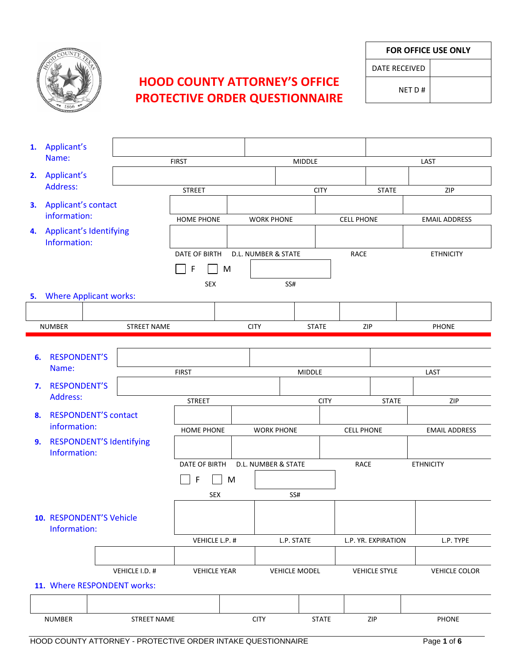

## **HOOD COUNTY ATTORNEY'S OFFICE PROTECTIVE ORDER QUESTIONNAIRE**

**FOR OFFICE USE ONLY**

DATE RECEIVED

NET D #

|    | 1. Applicant's                             |  |                    |                     |   |                   |                      |  |                      |              |                      |  |
|----|--------------------------------------------|--|--------------------|---------------------|---|-------------------|----------------------|--|----------------------|--------------|----------------------|--|
|    | Name:                                      |  |                    | <b>FIRST</b>        |   |                   | <b>MIDDLE</b>        |  |                      | LAST         |                      |  |
|    | 2. Applicant's                             |  |                    |                     |   |                   |                      |  |                      |              |                      |  |
|    | Address:                                   |  |                    | <b>STREET</b>       |   |                   | <b>CITY</b>          |  |                      | <b>STATE</b> | ZIP                  |  |
|    | 3. Applicant's contact                     |  |                    |                     |   |                   |                      |  |                      |              |                      |  |
|    | information:                               |  |                    | <b>HOME PHONE</b>   |   | <b>WORK PHONE</b> |                      |  | <b>CELL PHONE</b>    |              | <b>EMAIL ADDRESS</b> |  |
|    | 4. Applicant's Identifying<br>Information: |  |                    |                     |   |                   |                      |  |                      |              |                      |  |
|    |                                            |  |                    | DATE OF BIRTH       |   |                   | D.L. NUMBER & STATE  |  | <b>RACE</b>          |              | <b>ETHNICITY</b>     |  |
|    |                                            |  |                    | $\mathsf{F}$<br>M   |   |                   |                      |  |                      |              |                      |  |
|    |                                            |  |                    | <b>SEX</b>          |   |                   | SS#                  |  |                      |              |                      |  |
|    | 5. Where Applicant works:                  |  |                    |                     |   |                   |                      |  |                      |              |                      |  |
|    |                                            |  |                    |                     |   |                   |                      |  |                      |              |                      |  |
|    | <b>NUMBER</b>                              |  | <b>STREET NAME</b> |                     |   | <b>CITY</b>       | <b>STATE</b>         |  | ZIP                  |              | <b>PHONE</b>         |  |
|    |                                            |  |                    |                     |   |                   |                      |  |                      |              |                      |  |
| 6. | <b>RESPONDENT'S</b>                        |  |                    |                     |   |                   |                      |  |                      |              |                      |  |
|    | Name:                                      |  |                    | <b>FIRST</b>        |   |                   | MIDDLE               |  |                      | LAST         |                      |  |
| 7. | <b>RESPONDENT'S</b>                        |  |                    |                     |   |                   |                      |  |                      |              |                      |  |
|    | Address:                                   |  |                    | <b>STREET</b>       |   |                   | <b>CITY</b>          |  |                      | <b>STATE</b> | ZIP                  |  |
| 8. | <b>RESPONDENT'S contact</b>                |  |                    |                     |   |                   |                      |  |                      |              |                      |  |
|    | information:                               |  |                    | HOME PHONE          |   |                   | <b>WORK PHONE</b>    |  | <b>CELL PHONE</b>    |              | <b>EMAIL ADDRESS</b> |  |
| 9. | <b>RESPONDENT'S Identifying</b>            |  |                    |                     |   |                   |                      |  |                      |              |                      |  |
|    | Information:                               |  |                    |                     |   |                   |                      |  |                      |              |                      |  |
|    |                                            |  |                    | DATE OF BIRTH       |   |                   | D.L. NUMBER & STATE  |  | <b>RACE</b>          |              | <b>ETHNICITY</b>     |  |
|    |                                            |  |                    | F                   | M |                   |                      |  |                      |              |                      |  |
|    |                                            |  |                    | <b>SEX</b>          |   |                   | SS#                  |  |                      |              |                      |  |
|    |                                            |  |                    |                     |   |                   |                      |  |                      |              |                      |  |
|    | 10. RESPONDENT'S Vehicle                   |  |                    |                     |   |                   |                      |  |                      |              |                      |  |
|    | Information:                               |  |                    | VEHICLE L.P. #      |   |                   | L.P. STATE           |  | L.P. YR. EXPIRATION  |              | L.P. TYPE            |  |
|    |                                            |  |                    |                     |   |                   |                      |  |                      |              |                      |  |
|    |                                            |  | VEHICLE I.D. #     | <b>VEHICLE YEAR</b> |   |                   | <b>VEHICLE MODEL</b> |  | <b>VEHICLE STYLE</b> |              | <b>VEHICLE COLOR</b> |  |
|    | 11. Where RESPONDENT works:                |  |                    |                     |   |                   |                      |  |                      |              |                      |  |
|    |                                            |  |                    |                     |   |                   |                      |  |                      |              |                      |  |
|    |                                            |  |                    |                     |   |                   |                      |  |                      |              |                      |  |
|    | <b>NUMBER</b>                              |  | <b>STREET NAME</b> |                     |   | <b>CITY</b>       | <b>STATE</b>         |  | ZIP                  |              | PHONE                |  |
|    |                                            |  |                    |                     |   |                   |                      |  |                      |              |                      |  |

HOOD COUNTY ATTORNEY - PROTECTIVE ORDER INTAKE QUESTIONNAIRE Page **1** of **6**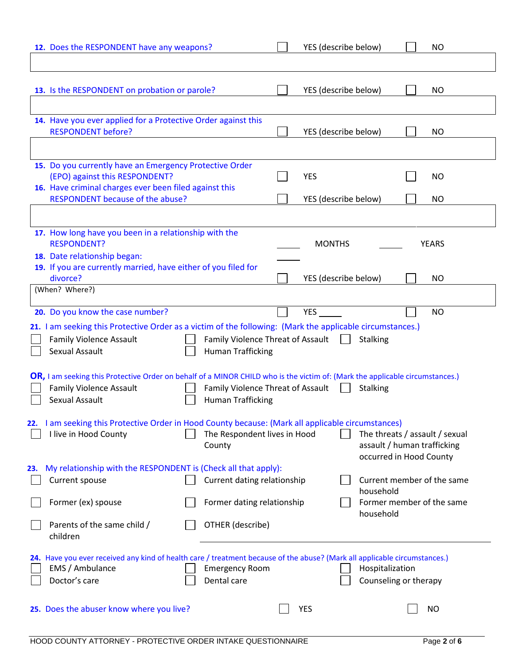| 12. Does the RESPONDENT have any weapons?                                                                                    | YES (describe below)              | <b>NO</b>                                                     |
|------------------------------------------------------------------------------------------------------------------------------|-----------------------------------|---------------------------------------------------------------|
|                                                                                                                              |                                   |                                                               |
|                                                                                                                              |                                   |                                                               |
| 13. Is the RESPONDENT on probation or parole?                                                                                | YES (describe below)              | <b>NO</b>                                                     |
| 14. Have you ever applied for a Protective Order against this                                                                |                                   |                                                               |
| <b>RESPONDENT before?</b>                                                                                                    | YES (describe below)              | <b>NO</b>                                                     |
|                                                                                                                              |                                   |                                                               |
| 15. Do you currently have an Emergency Protective Order                                                                      |                                   |                                                               |
| (EPO) against this RESPONDENT?<br>16. Have criminal charges ever been filed against this                                     | <b>YES</b>                        | <b>NO</b>                                                     |
| RESPONDENT because of the abuse?                                                                                             | YES (describe below)              | <b>NO</b>                                                     |
|                                                                                                                              |                                   |                                                               |
| 17. How long have you been in a relationship with the                                                                        |                                   |                                                               |
| <b>RESPONDENT?</b>                                                                                                           | <b>MONTHS</b>                     | <b>YEARS</b>                                                  |
| 18. Date relationship began:<br>19. If you are currently married, have either of you filed for                               |                                   |                                                               |
| divorce?                                                                                                                     | YES (describe below)              | <b>NO</b>                                                     |
| (When? Where?)                                                                                                               |                                   |                                                               |
| 20. Do you know the case number?                                                                                             | <b>YES</b>                        | <b>NO</b>                                                     |
| 21. I am seeking this Protective Order as a victim of the following: (Mark the applicable circumstances.)                    |                                   |                                                               |
| <b>Family Violence Assault</b>                                                                                               | Family Violence Threat of Assault | <b>Stalking</b>                                               |
| Sexual Assault<br><b>Human Trafficking</b>                                                                                   |                                   |                                                               |
| OR, I am seeking this Protective Order on behalf of a MINOR CHILD who is the victim of: (Mark the applicable circumstances.) |                                   |                                                               |
| <b>Family Violence Assault</b>                                                                                               | Family Violence Threat of Assault | <b>Stalking</b>                                               |
| Sexual Assault<br><b>Human Trafficking</b>                                                                                   |                                   |                                                               |
| I am seeking this Protective Order in Hood County because: (Mark all applicable circumstances)<br>22.                        |                                   |                                                               |
| I live in Hood County<br>County                                                                                              | The Respondent lives in Hood      | The threats / assault / sexual<br>assault / human trafficking |
|                                                                                                                              |                                   | occurred in Hood County                                       |
| My relationship with the RESPONDENT is (Check all that apply):<br>23.                                                        |                                   |                                                               |
| Current dating relationship<br>Current spouse                                                                                |                                   | Current member of the same<br>household                       |
| Former (ex) spouse<br>Former dating relationship                                                                             |                                   | Former member of the same                                     |
| Parents of the same child /<br>OTHER (describe)                                                                              |                                   | household                                                     |
| children                                                                                                                     |                                   |                                                               |
| 24. Have you ever received any kind of health care / treatment because of the abuse? (Mark all applicable circumstances.)    |                                   |                                                               |
| EMS / Ambulance<br><b>Emergency Room</b>                                                                                     |                                   | Hospitalization                                               |
| Doctor's care<br>Dental care                                                                                                 |                                   | Counseling or therapy                                         |
|                                                                                                                              |                                   |                                                               |
| 25. Does the abuser know where you live?                                                                                     | <b>YES</b>                        | <b>NO</b>                                                     |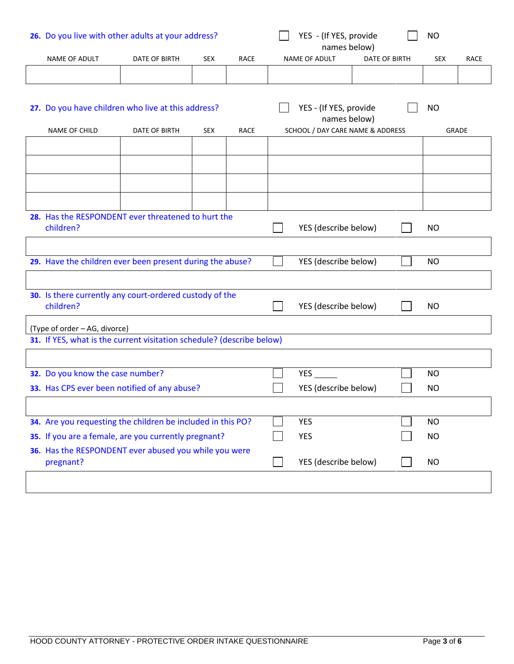| 26. Do you live with other adults at your address?                    |               |            |             |                                        | YES - (If YES, provide<br>names below) |                      |           | <b>NO</b>  |              |
|-----------------------------------------------------------------------|---------------|------------|-------------|----------------------------------------|----------------------------------------|----------------------|-----------|------------|--------------|
| NAME OF ADULT                                                         | DATE OF BIRTH | <b>SEX</b> | <b>RACE</b> |                                        | <b>NAME OF ADULT</b>                   | <b>DATE OF BIRTH</b> |           | <b>SEX</b> | <b>RACE</b>  |
|                                                                       |               |            |             |                                        |                                        |                      |           |            |              |
|                                                                       |               |            |             |                                        |                                        |                      |           |            |              |
| 27. Do you have children who live at this address?                    |               |            |             | YES - (If YES, provide<br>names below) |                                        |                      | <b>NO</b> |            |              |
| NAME OF CHILD                                                         | DATE OF BIRTH | <b>SEX</b> | RACE        | SCHOOL / DAY CARE NAME & ADDRESS       |                                        |                      |           |            | <b>GRADE</b> |
|                                                                       |               |            |             |                                        |                                        |                      |           |            |              |
|                                                                       |               |            |             |                                        |                                        |                      |           |            |              |
|                                                                       |               |            |             |                                        |                                        |                      |           |            |              |
|                                                                       |               |            |             |                                        |                                        |                      |           |            |              |
| 28. Has the RESPONDENT ever threatened to hurt the<br>children?       |               |            |             |                                        | YES (describe below)                   |                      |           | <b>NO</b>  |              |
|                                                                       |               |            |             |                                        |                                        |                      |           |            |              |
| 29. Have the children ever been present during the abuse?             |               |            |             |                                        | YES (describe below)                   |                      |           | <b>NO</b>  |              |
|                                                                       |               |            |             |                                        |                                        |                      |           |            |              |
| 30. Is there currently any court-ordered custody of the               |               |            |             |                                        |                                        |                      |           |            |              |
| children?                                                             |               |            |             |                                        | YES (describe below)                   |                      |           | <b>NO</b>  |              |
| (Type of order - AG, divorce)                                         |               |            |             |                                        |                                        |                      |           |            |              |
| 31. If YES, what is the current visitation schedule? (describe below) |               |            |             |                                        |                                        |                      |           |            |              |
|                                                                       |               |            |             |                                        |                                        |                      |           |            |              |
| 32. Do you know the case number?                                      |               |            |             |                                        |                                        |                      |           | <b>NO</b>  |              |
| 33. Has CPS ever been notified of any abuse?                          |               |            |             |                                        | YES (describe below)                   |                      |           | <b>NO</b>  |              |
|                                                                       |               |            |             |                                        |                                        |                      |           |            |              |
| 34. Are you requesting the children be included in this PO?           |               |            |             |                                        | <b>YES</b>                             |                      |           | <b>NO</b>  |              |
| 35. If you are a female, are you currently pregnant?                  |               |            |             |                                        | <b>YES</b>                             |                      |           | <b>NO</b>  |              |
| 36. Has the RESPONDENT ever abused you while you were<br>pregnant?    |               |            |             |                                        | YES (describe below)                   |                      |           | <b>NO</b>  |              |
|                                                                       |               |            |             |                                        |                                        |                      |           |            |              |
|                                                                       |               |            |             |                                        |                                        |                      |           |            |              |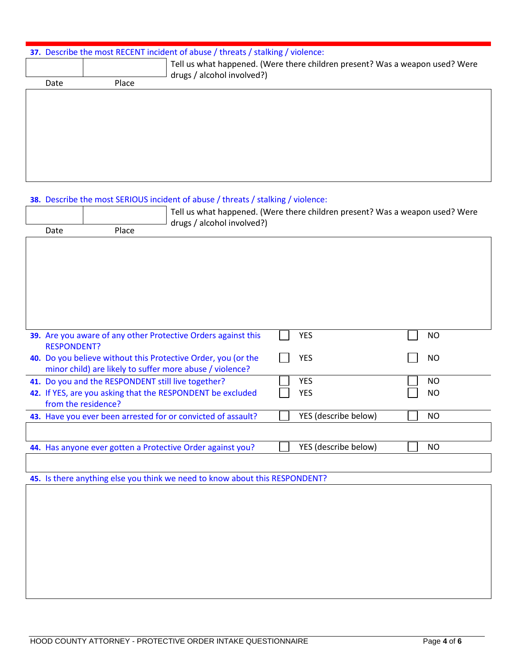## **37.** Describe the most RECENT incident of abuse / threats / stalking / violence:

| Date | Place | Tell us what happened. (Were there children present? Was a weapon used? Were<br>drugs / alcohol involved?) |  |  |  |
|------|-------|------------------------------------------------------------------------------------------------------------|--|--|--|
|      |       |                                                                                                            |  |  |  |
|      |       |                                                                                                            |  |  |  |
|      |       |                                                                                                            |  |  |  |
|      |       |                                                                                                            |  |  |  |
|      |       |                                                                                                            |  |  |  |
|      |       |                                                                                                            |  |  |  |
|      |       |                                                                                                            |  |  |  |
|      |       |                                                                                                            |  |  |  |
|      |       |                                                                                                            |  |  |  |
|      |       |                                                                                                            |  |  |  |
|      |       |                                                                                                            |  |  |  |
|      |       |                                                                                                            |  |  |  |

## **38.** Describe the most SERIOUS incident of abuse / threats / stalking / violence:

|                     |                                                    | Tell us what happened. (Were there children present? Was a weapon used? Were<br>drugs / alcohol involved?) |  |                      |  |           |  |  |
|---------------------|----------------------------------------------------|------------------------------------------------------------------------------------------------------------|--|----------------------|--|-----------|--|--|
| Date                | Place                                              |                                                                                                            |  |                      |  |           |  |  |
|                     |                                                    |                                                                                                            |  |                      |  |           |  |  |
|                     |                                                    |                                                                                                            |  |                      |  |           |  |  |
|                     |                                                    |                                                                                                            |  |                      |  |           |  |  |
|                     |                                                    |                                                                                                            |  |                      |  |           |  |  |
|                     |                                                    |                                                                                                            |  |                      |  |           |  |  |
|                     |                                                    |                                                                                                            |  |                      |  |           |  |  |
|                     |                                                    |                                                                                                            |  |                      |  |           |  |  |
|                     |                                                    |                                                                                                            |  |                      |  |           |  |  |
|                     |                                                    | 39. Are you aware of any other Protective Orders against this                                              |  | <b>YES</b>           |  | <b>NO</b> |  |  |
| <b>RESPONDENT?</b>  |                                                    |                                                                                                            |  |                      |  |           |  |  |
|                     |                                                    | 40. Do you believe without this Protective Order, you (or the                                              |  | <b>YES</b>           |  | <b>NO</b> |  |  |
|                     |                                                    | minor child) are likely to suffer more abuse / violence?                                                   |  |                      |  |           |  |  |
|                     | 41. Do you and the RESPONDENT still live together? |                                                                                                            |  | <b>YES</b>           |  | <b>NO</b> |  |  |
|                     |                                                    | 42. If YES, are you asking that the RESPONDENT be excluded                                                 |  | <b>YES</b>           |  | <b>NO</b> |  |  |
| from the residence? |                                                    |                                                                                                            |  |                      |  |           |  |  |
|                     |                                                    | 43. Have you ever been arrested for or convicted of assault?                                               |  | YES (describe below) |  | <b>NO</b> |  |  |
|                     |                                                    |                                                                                                            |  |                      |  |           |  |  |
|                     |                                                    | 44. Has anyone ever gotten a Protective Order against you?                                                 |  | YES (describe below) |  | NO        |  |  |
|                     |                                                    |                                                                                                            |  |                      |  |           |  |  |
|                     |                                                    |                                                                                                            |  |                      |  |           |  |  |
|                     |                                                    | 45. Is there anything else you think we need to know about this RESPONDENT?                                |  |                      |  |           |  |  |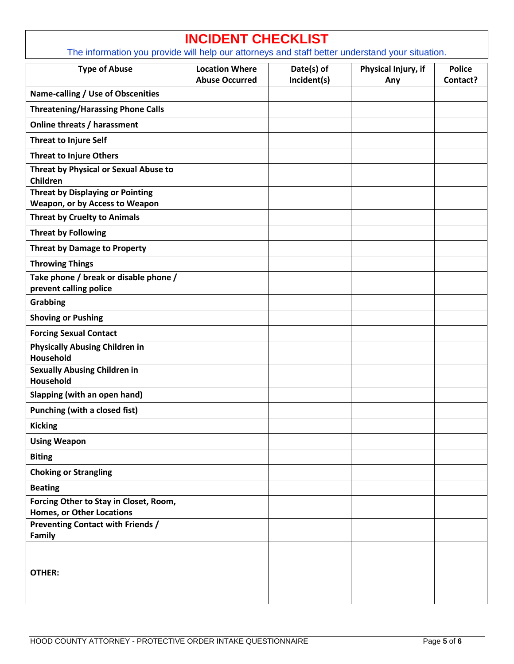| <b>INCIDENT CHECKLIST</b><br>The information you provide will help our attorneys and staff better understand your situation. |                                                |                           |                            |                           |  |  |
|------------------------------------------------------------------------------------------------------------------------------|------------------------------------------------|---------------------------|----------------------------|---------------------------|--|--|
| <b>Type of Abuse</b>                                                                                                         | <b>Location Where</b><br><b>Abuse Occurred</b> | Date(s) of<br>Incident(s) | Physical Injury, if<br>Any | <b>Police</b><br>Contact? |  |  |
| Name-calling / Use of Obscenities                                                                                            |                                                |                           |                            |                           |  |  |
| <b>Threatening/Harassing Phone Calls</b>                                                                                     |                                                |                           |                            |                           |  |  |
| Online threats / harassment                                                                                                  |                                                |                           |                            |                           |  |  |
| <b>Threat to Injure Self</b>                                                                                                 |                                                |                           |                            |                           |  |  |
| <b>Threat to Injure Others</b>                                                                                               |                                                |                           |                            |                           |  |  |
| Threat by Physical or Sexual Abuse to<br>Children                                                                            |                                                |                           |                            |                           |  |  |
| <b>Threat by Displaying or Pointing</b><br>Weapon, or by Access to Weapon                                                    |                                                |                           |                            |                           |  |  |
| <b>Threat by Cruelty to Animals</b>                                                                                          |                                                |                           |                            |                           |  |  |
| <b>Threat by Following</b>                                                                                                   |                                                |                           |                            |                           |  |  |
| <b>Threat by Damage to Property</b>                                                                                          |                                                |                           |                            |                           |  |  |
| <b>Throwing Things</b>                                                                                                       |                                                |                           |                            |                           |  |  |
| Take phone / break or disable phone /<br>prevent calling police                                                              |                                                |                           |                            |                           |  |  |
| <b>Grabbing</b>                                                                                                              |                                                |                           |                            |                           |  |  |
| <b>Shoving or Pushing</b>                                                                                                    |                                                |                           |                            |                           |  |  |
| <b>Forcing Sexual Contact</b>                                                                                                |                                                |                           |                            |                           |  |  |
| <b>Physically Abusing Children in</b><br>Household                                                                           |                                                |                           |                            |                           |  |  |
| <b>Sexually Abusing Children in</b><br>Household                                                                             |                                                |                           |                            |                           |  |  |
| Slapping (with an open hand)                                                                                                 |                                                |                           |                            |                           |  |  |
| <b>Punching (with a closed fist)</b>                                                                                         |                                                |                           |                            |                           |  |  |
| <b>Kicking</b>                                                                                                               |                                                |                           |                            |                           |  |  |
| <b>Using Weapon</b>                                                                                                          |                                                |                           |                            |                           |  |  |
| <b>Biting</b>                                                                                                                |                                                |                           |                            |                           |  |  |
| <b>Choking or Strangling</b>                                                                                                 |                                                |                           |                            |                           |  |  |
| <b>Beating</b>                                                                                                               |                                                |                           |                            |                           |  |  |
| Forcing Other to Stay in Closet, Room,                                                                                       |                                                |                           |                            |                           |  |  |
| <b>Homes, or Other Locations</b><br><b>Preventing Contact with Friends /</b>                                                 |                                                |                           |                            |                           |  |  |
| Family                                                                                                                       |                                                |                           |                            |                           |  |  |
| <b>OTHER:</b>                                                                                                                |                                                |                           |                            |                           |  |  |

 $\Gamma$ 

٦